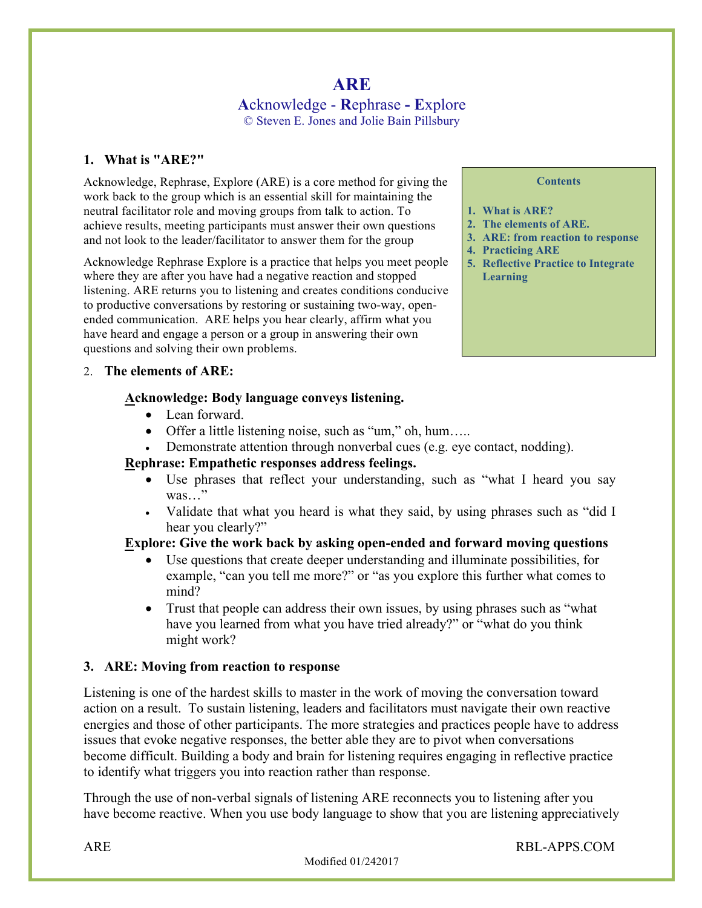# **ARE A**cknowledge - **R**ephrase **- E**xplore © Steven E. Jones and Jolie Bain Pillsbury

## **1. What is "ARE?"**

Acknowledge, Rephrase, Explore (ARE) is a core method for giving the work back to the group which is an essential skill for maintaining the neutral facilitator role and moving groups from talk to action. To achieve results, meeting participants must answer their own questions and not look to the leader/facilitator to answer them for the group

Acknowledge Rephrase Explore is a practice that helps you meet people where they are after you have had a negative reaction and stopped listening. ARE returns you to listening and creates conditions conducive to productive conversations by restoring or sustaining two-way, openended communication. ARE helps you hear clearly, affirm what you have heard and engage a person or a group in answering their own questions and solving their own problems.

#### 2. **The elements of ARE:**

#### **Acknowledge: Body language conveys listening.**

- Lean forward.
- Offer a little listening noise, such as "um," oh, hum…..
- Demonstrate attention through nonverbal cues (e.g. eye contact, nodding).

## **Rephrase: Empathetic responses address feelings.**

- Use phrases that reflect your understanding, such as "what I heard you say was…"
- Validate that what you heard is what they said, by using phrases such as "did I hear you clearly?"

## **Explore: Give the work back by asking open-ended and forward moving questions**

- Use questions that create deeper understanding and illuminate possibilities, for example, "can you tell me more?" or "as you explore this further what comes to mind?
- Trust that people can address their own issues, by using phrases such as "what" have you learned from what you have tried already?" or "what do you think might work?

## **3. ARE: Moving from reaction to response**

Listening is one of the hardest skills to master in the work of moving the conversation toward action on a result. To sustain listening, leaders and facilitators must navigate their own reactive energies and those of other participants. The more strategies and practices people have to address issues that evoke negative responses, the better able they are to pivot when conversations become difficult. Building a body and brain for listening requires engaging in reflective practice to identify what triggers you into reaction rather than response.

Through the use of non-verbal signals of listening ARE reconnects you to listening after you have become reactive. When you use body language to show that you are listening appreciatively

#### **Contents**

- **1. What is ARE?**
- **2. The elements of ARE.**
- **3. ARE: from reaction to response**
- **4. Practicing ARE**
- **5. Reflective Practice to Integrate Learning**

ARE RBL-APPS.COM